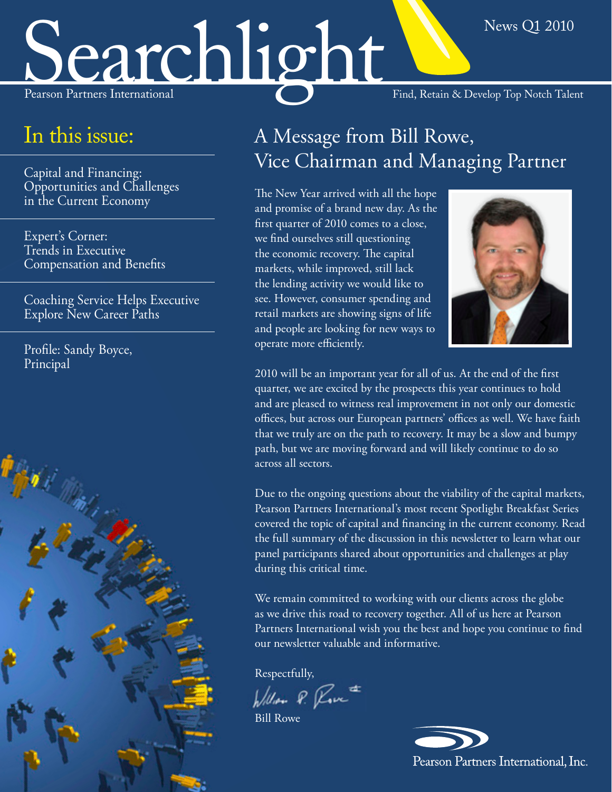# Searchlight Find, Retain & Develop Top Notch Talent

## In this issue:

Capital and Financing: [Opportunities and Challenges](#page-1-0)  in the Current Economy

Expert's Corner: Trends in Executive [Compensation and Benefits](#page-2-0)

[Coaching Service Helps Executive](#page-4-0)  Explore New Career Paths

[Profile: Sandy Boyce,](#page-5-0)  Principal



# A Message from Bill Rowe, Vice Chairman and Managing Partner

The New Year arrived with all the hope and promise of a brand new day. As the first quarter of 2010 comes to a close, we find ourselves still questioning the economic recovery. The capital markets, while improved, still lack the lending activity we would like to see. However, consumer spending and retail markets are showing signs of life and people are looking for new ways to operate more efficiently.



News Q1 2010

2010 will be an important year for all of us. At the end of the first quarter, we are excited by the prospects this year continues to hold and are pleased to witness real improvement in not only our domestic offices, but across our European partners' offices as well. We have faith that we truly are on the path to recovery. It may be a slow and bumpy path, but we are moving forward and will likely continue to do so across all sectors.

Due to the ongoing questions about the viability of the capital markets, Pearson Partners International's most recent Spotlight Breakfast Series covered the topic of capital and financing in the current economy. Read the full summary of the discussion in this newsletter to learn what our panel participants shared about opportunities and challenges at play during this critical time.

We remain committed to working with our clients across the globe as we drive this road to recovery together. All of us here at Pearson Partners International wish you the best and hope you continue to find our newsletter valuable and informative.

Respectfully,

Willow P. Rove

Bill Rowe

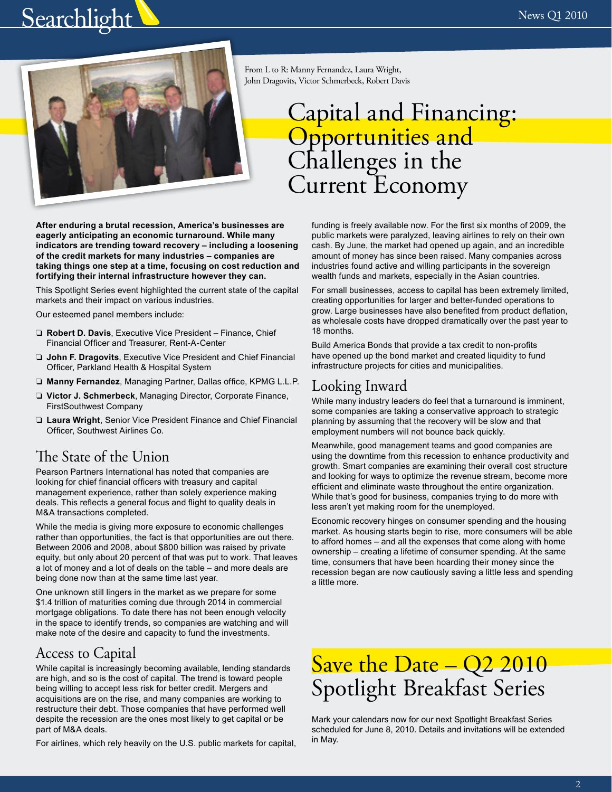# <span id="page-1-0"></span>**Searchlight**



From L to R: Manny Fernandez, Laura Wright, John Dragovits, Victor Schmerbeck, Robert Davis

# Capital and Financing: Opportunities and Challenges in the Current Economy

**After enduring a brutal recession, America's businesses are eagerly anticipating an economic turnaround. While many indicators are trending toward recovery – including a loosening of the credit markets for many industries – companies are taking things one step at a time, focusing on cost reduction and fortifying their internal infrastructure however they can.** 

This Spotlight Series event highlighted the current state of the capital markets and their impact on various industries.

Our esteemed panel members include:

- ❏ **Robert D. Davis**, Executive Vice President Finance, Chief Financial Officer and Treasurer, Rent-A-Center
- ❏ **John F. Dragovits**, Executive Vice President and Chief Financial Officer, Parkland Health & Hospital System
- ❏ **Manny Fernandez**, Managing Partner, Dallas office, KPMG L.L.P.
- ❏ **Victor J. Schmerbeck**, Managing Director, Corporate Finance, FirstSouthwest Company
- ❏ **Laura Wright**, Senior Vice President Finance and Chief Financial Officer, Southwest Airlines Co.

#### The State of the Union

Pearson Partners International has noted that companies are looking for chief financial officers with treasury and capital management experience, rather than solely experience making deals. This reflects a general focus and flight to quality deals in M&A transactions completed.

While the media is giving more exposure to economic challenges rather than opportunities, the fact is that opportunities are out there. Between 2006 and 2008, about \$800 billion was raised by private equity, but only about 20 percent of that was put to work. That leaves a lot of money and a lot of deals on the table – and more deals are being done now than at the same time last year.

One unknown still lingers in the market as we prepare for some \$1.4 trillion of maturities coming due through 2014 in commercial mortgage obligations. To date there has not been enough velocity in the space to identify trends, so companies are watching and will make note of the desire and capacity to fund the investments.

### Access to Capital

While capital is increasingly becoming available, lending standards are high, and so is the cost of capital. The trend is toward people being willing to accept less risk for better credit. Mergers and acquisitions are on the rise, and many companies are working to restructure their debt. Those companies that have performed well despite the recession are the ones most likely to get capital or be part of M&A deals.

For airlines, which rely heavily on the U.S. public markets for capital,

funding is freely available now. For the first six months of 2009, the public markets were paralyzed, leaving airlines to rely on their own cash. By June, the market had opened up again, and an incredible amount of money has since been raised. Many companies across industries found active and willing participants in the sovereign wealth funds and markets, especially in the Asian countries.

For small businesses, access to capital has been extremely limited, creating opportunities for larger and better-funded operations to grow. Large businesses have also benefited from product deflation, as wholesale costs have dropped dramatically over the past year to 18 months.

Build America Bonds that provide a tax credit to non-profits have opened up the bond market and created liquidity to fund infrastructure projects for cities and municipalities.

## Looking Inward

While many industry leaders do feel that a turnaround is imminent, some companies are taking a conservative approach to strategic planning by assuming that the recovery will be slow and that employment numbers will not bounce back quickly.

Meanwhile, good management teams and good companies are using the downtime from this recession to enhance productivity and growth. Smart companies are examining their overall cost structure and looking for ways to optimize the revenue stream, become more efficient and eliminate waste throughout the entire organization. While that's good for business, companies trying to do more with less aren't yet making room for the unemployed.

Economic recovery hinges on consumer spending and the housing market. As housing starts begin to rise, more consumers will be able to afford homes – and all the expenses that come along with home ownership – creating a lifetime of consumer spending. At the same time, consumers that have been hoarding their money since the recession began are now cautiously saving a little less and spending a little more.

# Save the Date - Q2 2010 Spotlight Breakfast Series

Mark your calendars now for our next Spotlight Breakfast Series scheduled for June 8, 2010. Details and invitations will be extended in May.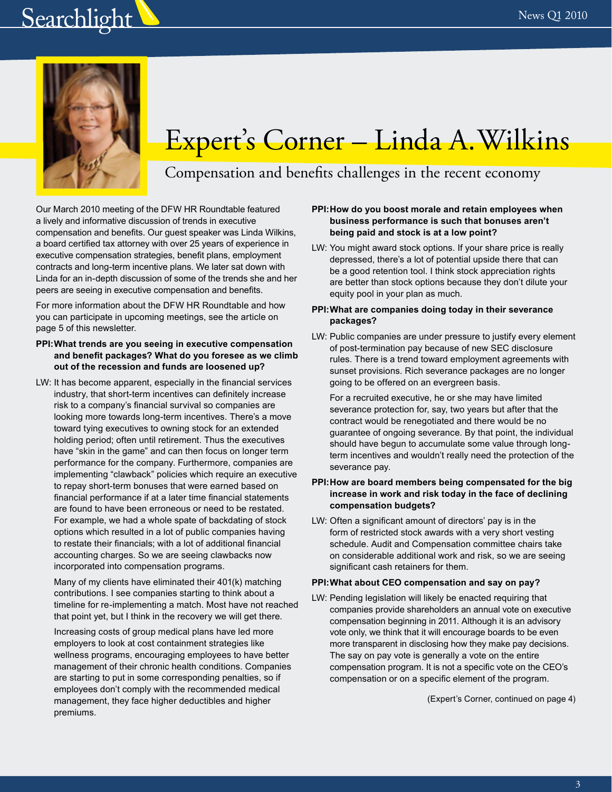# <span id="page-2-0"></span>**Searchlight**



# Expert's Corner – Linda A. Wilkins

## Compensation and benefits challenges in the recent economy

Our March 2010 meeting of the DFW HR Roundtable featured a lively and informative discussion of trends in executive compensation and benefits. Our guest speaker was Linda Wilkins, a board certified tax attorney with over 25 years of experience in executive compensation strategies, benefit plans, employment contracts and long-term incentive plans. We later sat down with Linda for an in-depth discussion of some of the trends she and her peers are seeing in executive compensation and benefits.

For more information about the DFW HR Roundtable and how you can participate in upcoming meetings, see the article on page 5 of this newsletter.

#### **PPI:What trends are you seeing in executive compensation and benefit packages? What do you foresee as we climb out of the recession and funds are loosened up?**

LW: It has become apparent, especially in the financial services industry, that short-term incentives can definitely increase risk to a company's financial survival so companies are looking more towards long-term incentives. There's a move toward tying executives to owning stock for an extended holding period; often until retirement. Thus the executives have "skin in the game" and can then focus on longer term performance for the company. Furthermore, companies are implementing "clawback" policies which require an executive to repay short-term bonuses that were earned based on financial performance if at a later time financial statements are found to have been erroneous or need to be restated. For example, we had a whole spate of backdating of stock options which resulted in a lot of public companies having to restate their financials; with a lot of additional financial accounting charges. So we are seeing clawbacks now incorporated into compensation programs.

Many of my clients have eliminated their 401(k) matching contributions. I see companies starting to think about a timeline for re-implementing a match. Most have not reached that point yet, but I think in the recovery we will get there.

Increasing costs of group medical plans have led more employers to look at cost containment strategies like wellness programs, encouraging employees to have better management of their chronic health conditions. Companies are starting to put in some corresponding penalties, so if employees don't comply with the recommended medical management, they face higher deductibles and higher premiums.

#### **PPI:How do you boost morale and retain employees when business performance is such that bonuses aren't being paid and stock is at a low point?**

LW: You might award stock options. If your share price is really depressed, there's a lot of potential upside there that can be a good retention tool. I think stock appreciation rights are better than stock options because they don't dilute your equity pool in your plan as much.

#### **PPI:What are companies doing today in their severance packages?**

LW: Public companies are under pressure to justify every element of post-termination pay because of new SEC disclosure rules. There is a trend toward employment agreements with sunset provisions. Rich severance packages are no longer going to be offered on an evergreen basis.

For a recruited executive, he or she may have limited severance protection for, say, two years but after that the contract would be renegotiated and there would be no guarantee of ongoing severance. By that point, the individual should have begun to accumulate some value through longterm incentives and wouldn't really need the protection of the severance pay.

#### **PPI:How are board members being compensated for the big increase in work and risk today in the face of declining compensation budgets?**

LW: Often a significant amount of directors' pay is in the form of restricted stock awards with a very short vesting schedule. Audit and Compensation committee chairs take on considerable additional work and risk, so we are seeing significant cash retainers for them.

#### **PPI:What about CEO compensation and say on pay?**

LW: Pending legislation will likely be enacted requiring that companies provide shareholders an annual vote on executive compensation beginning in 2011. Although it is an advisory vote only, we think that it will encourage boards to be even more transparent in disclosing how they make pay decisions. The say on pay vote is generally a vote on the entire compensation program. It is not a specific vote on the CEO's compensation or on a specific element of the program.

(Expert's Corner, continued on page 4)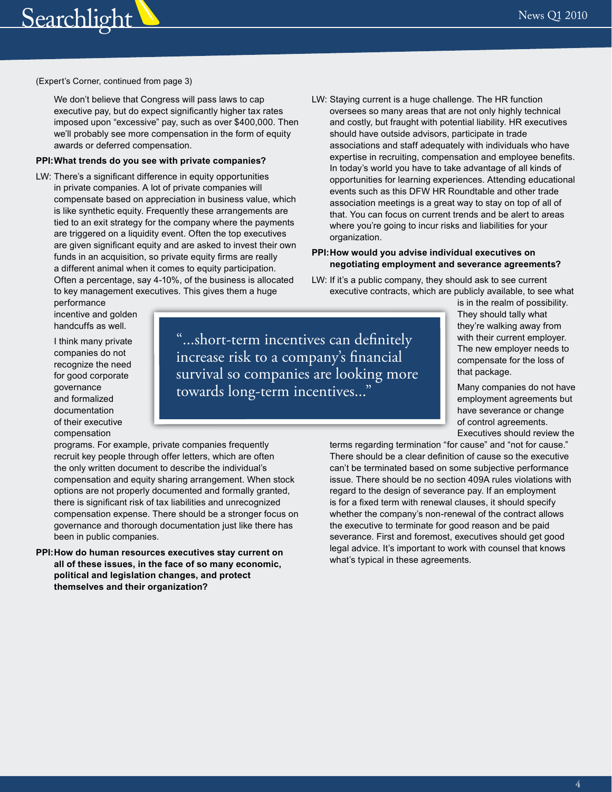

(Expert's Corner, continued from page 3)

We don't believe that Congress will pass laws to cap executive pay, but do expect significantly higher tax rates imposed upon "excessive" pay, such as over \$400,000. Then we'll probably see more compensation in the form of equity awards or deferred compensation.

#### **PPI:What trends do you see with private companies?**

- LW: There's a significant difference in equity opportunities in private companies. A lot of private companies will compensate based on appreciation in business value, which is like synthetic equity. Frequently these arrangements are tied to an exit strategy for the company where the payments are triggered on a liquidity event. Often the top executives are given significant equity and are asked to invest their own funds in an acquisition, so private equity firms are really a different animal when it comes to equity participation. Often a percentage, say 4-10%, of the business is allocated to key management executives. This gives them a huge
- LW: Staying current is a huge challenge. The HR function oversees so many areas that are not only highly technical and costly, but fraught with potential liability. HR executives should have outside advisors, participate in trade associations and staff adequately with individuals who have expertise in recruiting, compensation and employee benefits. In today's world you have to take advantage of all kinds of opportunities for learning experiences. Attending educational events such as this DFW HR Roundtable and other trade association meetings is a great way to stay on top of all of that. You can focus on current trends and be alert to areas where you're going to incur risks and liabilities for your organization.

#### **PPI:How would you advise individual executives on negotiating employment and severance agreements?**

LW: If it's a public company, they should ask to see current executive contracts, which are publicly available, to see what

performance incentive and golden handcuffs as well.

I think many private companies do not recognize the need for good corporate governance and formalized documentation of their executive compensation

"...short-term incentives can definitely increase risk to a company's financial survival so companies are looking more towards long-term incentives..."

is in the realm of possibility. They should tally what they're walking away from with their current employer. The new employer needs to compensate for the loss of that package.

Many companies do not have employment agreements but have severance or change of control agreements. Executives should review the

programs. For example, private companies frequently recruit key people through offer letters, which are often the only written document to describe the individual's compensation and equity sharing arrangement. When stock options are not properly documented and formally granted, there is significant risk of tax liabilities and unrecognized compensation expense. There should be a stronger focus on governance and thorough documentation just like there has been in public companies.

**PPI:How do human resources executives stay current on all of these issues, in the face of so many economic, political and legislation changes, and protect themselves and their organization?**

terms regarding termination "for cause" and "not for cause." There should be a clear definition of cause so the executive can't be terminated based on some subjective performance issue. There should be no section 409A rules violations with regard to the design of severance pay. If an employment is for a fixed term with renewal clauses, it should specify whether the company's non-renewal of the contract allows the executive to terminate for good reason and be paid severance. First and foremost, executives should get good legal advice. It's important to work with counsel that knows what's typical in these agreements.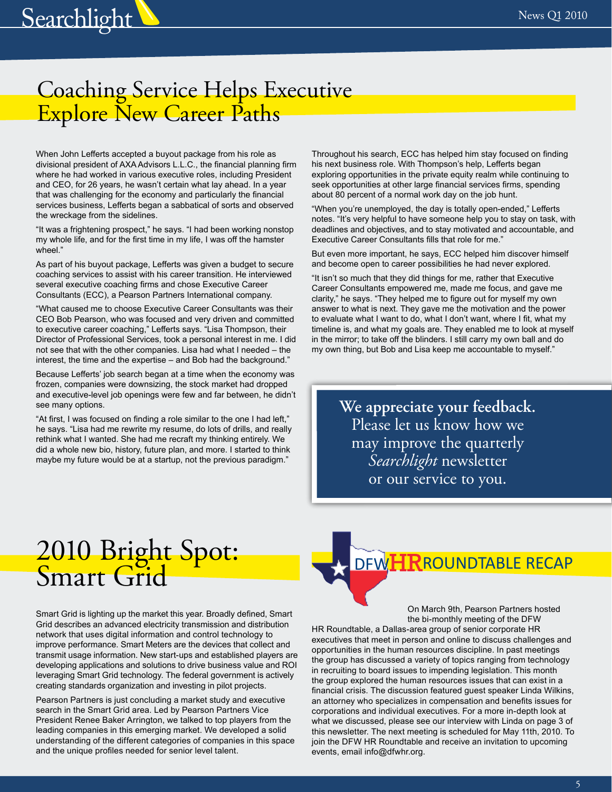# <span id="page-4-0"></span>**Searchlight**

## Coaching Service Helps Executive Explore New Career Paths

When John Lefferts accepted a buyout package from his role as divisional president of AXA Advisors L.L.C., the financial planning firm where he had worked in various executive roles, including President and CEO, for 26 years, he wasn't certain what lay ahead. In a year that was challenging for the economy and particularly the financial services business, Lefferts began a sabbatical of sorts and observed the wreckage from the sidelines.

"It was a frightening prospect," he says. "I had been working nonstop my whole life, and for the first time in my life, I was off the hamster wheel."

As part of his buyout package, Lefferts was given a budget to secure coaching services to assist with his career transition. He interviewed several executive coaching firms and chose Executive Career Consultants (ECC), a Pearson Partners International company.

"What caused me to choose Executive Career Consultants was their CEO Bob Pearson, who was focused and very driven and committed to executive career coaching," Lefferts says. "Lisa Thompson, their Director of Professional Services, took a personal interest in me. I did not see that with the other companies. Lisa had what I needed – the interest, the time and the expertise – and Bob had the background."

Because Lefferts' job search began at a time when the economy was frozen, companies were downsizing, the stock market had dropped and executive-level job openings were few and far between, he didn't see many options.

"At first, I was focused on finding a role similar to the one I had left," he says. "Lisa had me rewrite my resume, do lots of drills, and really rethink what I wanted. She had me recraft my thinking entirely. We did a whole new bio, history, future plan, and more. I started to think maybe my future would be at a startup, not the previous paradigm."

Throughout his search, ECC has helped him stay focused on finding his next business role. With Thompson's help, Lefferts began exploring opportunities in the private equity realm while continuing to seek opportunities at other large financial services firms, spending about 80 percent of a normal work day on the job hunt.

"When you're unemployed, the day is totally open-ended," Lefferts notes. "It's very helpful to have someone help you to stay on task, with deadlines and objectives, and to stay motivated and accountable, and Executive Career Consultants fills that role for me."

But even more important, he says, ECC helped him discover himself and become open to career possibilities he had never explored.

"It isn't so much that they did things for me, rather that Executive Career Consultants empowered me, made me focus, and gave me clarity," he says. "They helped me to figure out for myself my own answer to what is next. They gave me the motivation and the power to evaluate what I want to do, what I don't want, where I fit, what my timeline is, and what my goals are. They enabled me to look at myself in the mirror; to take off the blinders. I still carry my own ball and do my own thing, but Bob and Lisa keep me accountable to myself."

> **We appreciate your feedback.**  Please let us know how we may improve the quarterly *Searchlight* newsletter or our service to you.

# 2010 Bright Spot: Smart Grid

Smart Grid is lighting up the market this year. Broadly defined, Smart Grid describes an advanced electricity transmission and distribution network that uses digital information and control technology to improve performance. Smart Meters are the devices that collect and transmit usage information. New start-ups and established players are developing applications and solutions to drive business value and ROI leveraging Smart Grid technology. The federal government is actively creating standards organization and investing in pilot projects.

Pearson Partners is just concluding a market study and executive search in the Smart Grid area. Led by Pearson Partners Vice President Renee Baker Arrington, we talked to top players from the leading companies in this emerging market. We developed a solid understanding of the different categories of companies in this space and the unique profiles needed for senior level talent.



On March 9th, Pearson Partners hosted the bi-monthly meeting of the DFW

HR Roundtable, a Dallas-area group of senior corporate HR executives that meet in person and online to discuss challenges and opportunities in the human resources discipline. In past meetings the group has discussed a variety of topics ranging from technology in recruiting to board issues to impending legislation. This month the group explored the human resources issues that can exist in a financial crisis. The discussion featured guest speaker Linda Wilkins, an attorney who specializes in compensation and benefits issues for corporations and individual executives. For a more in-depth look at what we discussed, please see our interview with Linda on page 3 of this newsletter. The next meeting is scheduled for May 11th, 2010. To join the DFW HR Roundtable and receive an invitation to upcoming events, email info@dfwhr.org.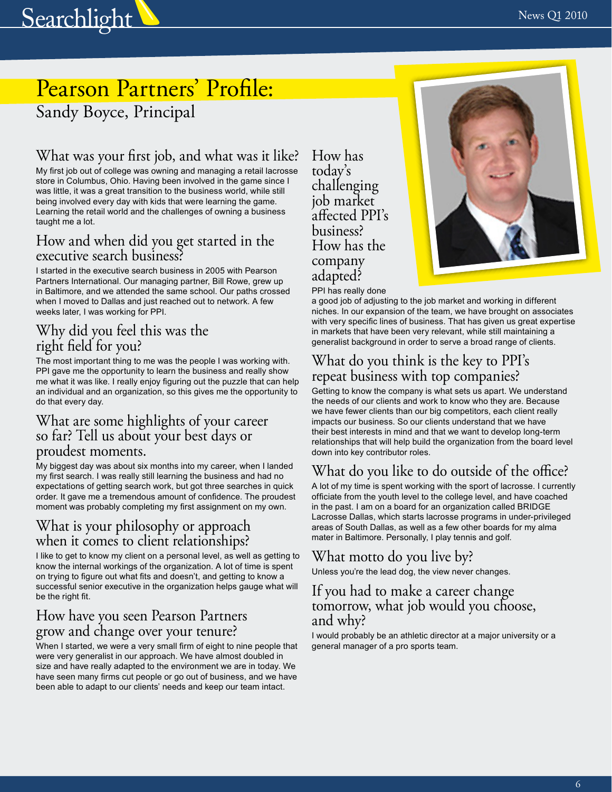<span id="page-5-0"></span>

## Pearson Partners' Profile: Sandy Boyce, Principal

## What was your first job, and what was it like?

My first job out of college was owning and managing a retail lacrosse store in Columbus, Ohio. Having been involved in the game since I was little, it was a great transition to the business world, while still being involved every day with kids that were learning the game. Learning the retail world and the challenges of owning a business taught me a lot.

#### How and when did you get started in the executive search business?

I started in the executive search business in 2005 with Pearson Partners International. Our managing partner, Bill Rowe, grew up in Baltimore, and we attended the same school. Our paths crossed when I moved to Dallas and just reached out to network. A few weeks later, I was working for PPI.

### Why did you feel this was the right field for you?

The most important thing to me was the people I was working with. PPI gave me the opportunity to learn the business and really show me what it was like. I really enjoy figuring out the puzzle that can help an individual and an organization, so this gives me the opportunity to do that every day.

#### What are some highlights of your career so far? Tell us about your best days or proudest moments.

My biggest day was about six months into my career, when I landed my first search. I was really still learning the business and had no expectations of getting search work, but got three searches in quick order. It gave me a tremendous amount of confidence. The proudest moment was probably completing my first assignment on my own.

### What is your philosophy or approach when it comes to client relationships?

I like to get to know my client on a personal level, as well as getting to know the internal workings of the organization. A lot of time is spent on trying to figure out what fits and doesn't, and getting to know a successful senior executive in the organization helps gauge what will be the right fit.

#### How have you seen Pearson Partners grow and change over your tenure?

When I started, we were a very small firm of eight to nine people that were very generalist in our approach. We have almost doubled in size and have really adapted to the environment we are in today. We have seen many firms cut people or go out of business, and we have been able to adapt to our clients' needs and keep our team intact.

How has today's challenging job market affected PPI's business? How has the company adapted?



PPI has really done

a good job of adjusting to the job market and working in different niches. In our expansion of the team, we have brought on associates with very specific lines of business. That has given us great expertise in markets that have been very relevant, while still maintaining a generalist background in order to serve a broad range of clients.

### What do you think is the key to PPI's repeat business with top companies?

Getting to know the company is what sets us apart. We understand the needs of our clients and work to know who they are. Because we have fewer clients than our big competitors, each client really impacts our business. So our clients understand that we have their best interests in mind and that we want to develop long-term relationships that will help build the organization from the board level down into key contributor roles.

## What do you like to do outside of the office?

A lot of my time is spent working with the sport of lacrosse. I currently officiate from the youth level to the college level, and have coached in the past. I am on a board for an organization called BRIDGE Lacrosse Dallas, which starts lacrosse programs in under-privileged areas of South Dallas, as well as a few other boards for my alma mater in Baltimore. Personally, I play tennis and golf.

## What motto do you live by?

Unless you're the lead dog, the view never changes.

#### If you had to make a career change tomorrow, what job would you choose, and why?

I would probably be an athletic director at a major university or a general manager of a pro sports team.